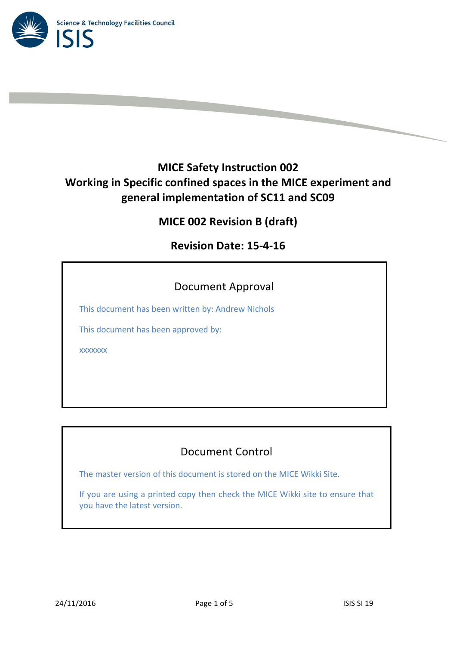

# **MICE Safety Instruction 002 Working in Specific confined spaces in the MICE experiment and general implementation of SC11 and SC09**

**MICE 002 Revision B (draft)**

**Revision Date: 15-4-16**

## Document Approval

This document has been written by: Andrew Nichols

This document has been approved by:

xxxxxxx

## Document Control

The master version of this document is stored on the MICE Wikki Site.

If you are using a printed copy then check the MICE Wikki site to ensure that you have the latest version.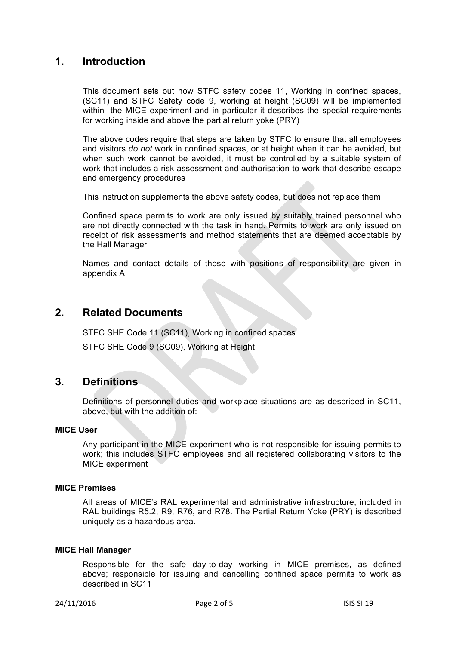## **1. Introduction**

This document sets out how STFC safety codes 11, Working in confined spaces, (SC11) and STFC Safety code 9, working at height (SC09) will be implemented within the MICE experiment and in particular it describes the special requirements for working inside and above the partial return yoke (PRY)

The above codes require that steps are taken by STFC to ensure that all employees and visitors *do not* work in confined spaces, or at height when it can be avoided, but when such work cannot be avoided, it must be controlled by a suitable system of work that includes a risk assessment and authorisation to work that describe escape and emergency procedures

This instruction supplements the above safety codes, but does not replace them

Confined space permits to work are only issued by suitably trained personnel who are not directly connected with the task in hand. Permits to work are only issued on receipt of risk assessments and method statements that are deemed acceptable by the Hall Manager

Names and contact details of those with positions of responsibility are given in appendix A

### **2. Related Documents**

STFC SHE Code 11 (SC11), Working in confined spaces

STFC SHE Code 9 (SC09), Working at Height

### **3. Definitions**

Definitions of personnel duties and workplace situations are as described in SC11, above, but with the addition of:

#### **MICE User**

Any participant in the MICE experiment who is not responsible for issuing permits to work; this includes STFC employees and all registered collaborating visitors to the MICE experiment

#### **MICE Premises**

All areas of MICE's RAL experimental and administrative infrastructure, included in RAL buildings R5.2, R9, R76, and R78. The Partial Return Yoke (PRY) is described uniquely as a hazardous area.

#### **MICE Hall Manager**

Responsible for the safe day-to-day working in MICE premises, as defined above; responsible for issuing and cancelling confined space permits to work as described in SC11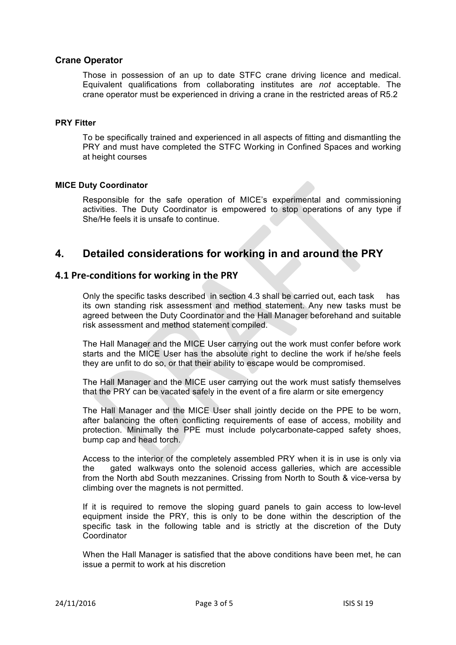#### **Crane Operator**

Those in possession of an up to date STFC crane driving licence and medical. Equivalent qualifications from collaborating institutes are *not* acceptable. The crane operator must be experienced in driving a crane in the restricted areas of R5.2

#### **PRY Fitter**

To be specifically trained and experienced in all aspects of fitting and dismantling the PRY and must have completed the STFC Working in Confined Spaces and working at height courses

#### **MICE Duty Coordinator**

Responsible for the safe operation of MICE's experimental and commissioning activities. The Duty Coordinator is empowered to stop operations of any type if She/He feels it is unsafe to continue.

## **4. Detailed considerations for working in and around the PRY**

#### **4.1 Pre-conditions for working in the PRY**

Only the specific tasks described in section 4.3 shall be carried out, each task has its own standing risk assessment and method statement. Any new tasks must be agreed between the Duty Coordinator and the Hall Manager beforehand and suitable risk assessment and method statement compiled.

The Hall Manager and the MICE User carrying out the work must confer before work starts and the MICE User has the absolute right to decline the work if he/she feels they are unfit to do so, or that their ability to escape would be compromised.

The Hall Manager and the MICE user carrying out the work must satisfy themselves that the PRY can be vacated safely in the event of a fire alarm or site emergency

The Hall Manager and the MICE User shall jointly decide on the PPE to be worn, after balancing the often conflicting requirements of ease of access, mobility and protection. Minimally the PPE must include polycarbonate-capped safety shoes, bump cap and head torch.

Access to the interior of the completely assembled PRY when it is in use is only via the gated walkways onto the solenoid access galleries, which are accessible from the North abd South mezzanines. Crissing from North to South & vice-versa by climbing over the magnets is not permitted.

If it is required to remove the sloping guard panels to gain access to low-level equipment inside the PRY, this is only to be done within the description of the specific task in the following table and is strictly at the discretion of the Duty Coordinator

When the Hall Manager is satisfied that the above conditions have been met, he can issue a permit to work at his discretion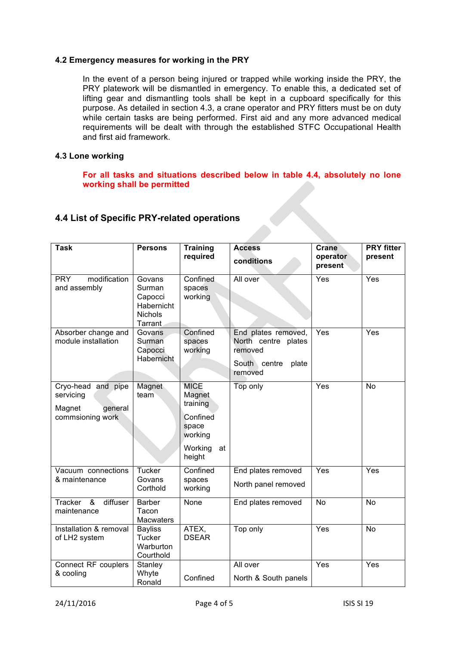#### **4.2 Emergency measures for working in the PRY**

In the event of a person being injured or trapped while working inside the PRY, the PRY platework will be dismantled in emergency. To enable this, a dedicated set of lifting gear and dismantling tools shall be kept in a cupboard specifically for this purpose. As detailed in section 4.3, a crane operator and PRY fitters must be on duty while certain tasks are being performed. First aid and any more advanced medical requirements will be dealt with through the established STFC Occupational Health and first aid framework.

#### **4.3 Lone working**

**For all tasks and situations described below in table 4.4, absolutely no lone working shall be permitted**

#### **4.4 List of Specific PRY-related operations**

| <b>Task</b>                                                              | <b>Persons</b>                                                         | <b>Training</b><br>required       | <b>Access</b><br>conditions                                                               | <b>Crane</b><br>operator<br>present | <b>PRY</b> fitter<br>present |
|--------------------------------------------------------------------------|------------------------------------------------------------------------|-----------------------------------|-------------------------------------------------------------------------------------------|-------------------------------------|------------------------------|
| modification<br><b>PRY</b><br>and assembly                               | Govans<br>Surman<br>Capocci<br>Habernicht<br><b>Nichols</b><br>Tarrant | Confined<br>spaces<br>working     | All over                                                                                  | Yes                                 | $\overline{Yes}$             |
| Absorber change and<br>module installation                               | Govans<br>Surman<br>Capocci<br>Habernicht                              | Confined<br>spaces<br>working     | End plates removed,<br>North centre plates<br>removed<br>South centre<br>plate<br>removed | Yes                                 | Yes                          |
| Cryo-head and pipe<br>servicing<br>Magnet<br>general<br>commsioning work | Magnet<br>team                                                         | <b>MICE</b><br>Magnet<br>training | Top only                                                                                  | Yes                                 | No                           |
|                                                                          |                                                                        | Confined<br>space<br>working      |                                                                                           |                                     |                              |
|                                                                          |                                                                        | Working<br>at<br>height           |                                                                                           |                                     |                              |
| Vacuum connections                                                       | Tucker<br>Govans<br>Corthold                                           | Confined<br>spaces<br>working     | End plates removed                                                                        | Yes                                 | Yes                          |
| & maintenance                                                            |                                                                        |                                   | North panel removed                                                                       |                                     |                              |
| Tracker<br>&<br>diffuser<br>maintenance                                  | <b>Barber</b><br>Tacon<br><b>Macwaters</b>                             | None                              | End plates removed                                                                        | <b>No</b>                           | No                           |
| Installation & removal<br>of LH2 system                                  | <b>Bayliss</b><br>Tucker<br>Warburton<br>Courthold                     | ATEX,<br><b>DSEAR</b>             | Top only                                                                                  | Yes                                 | No                           |
| Connect RF couplers<br>& cooling                                         | Stanley<br>Whyte                                                       |                                   | All over                                                                                  | Yes                                 | Yes                          |
|                                                                          | Ronald                                                                 | Confined                          | North & South panels                                                                      |                                     |                              |